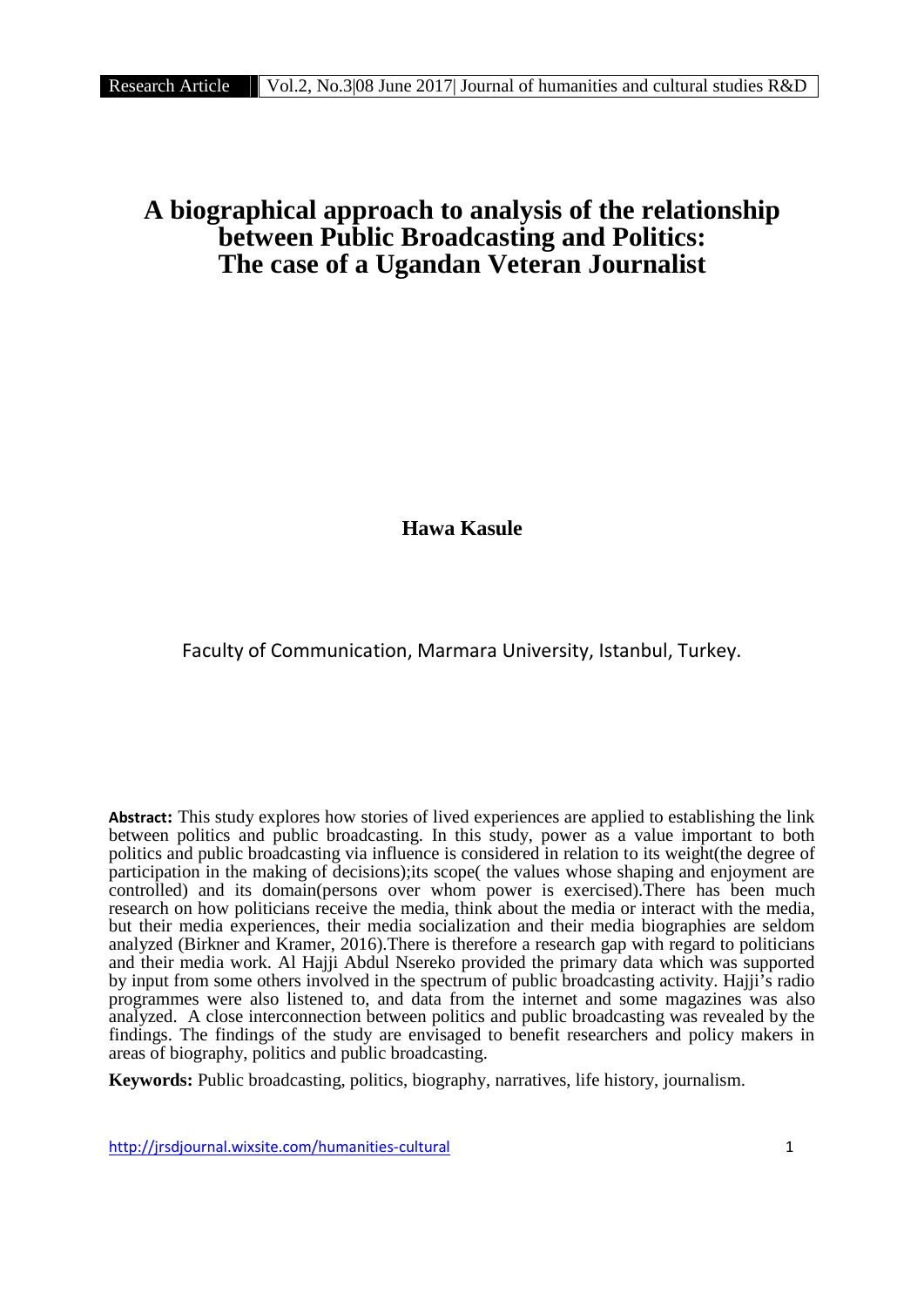# **A biographical approach to analysis of the relationship between Public Broadcasting and Politics: The case of a Ugandan Veteran Journalist**

**Hawa Kasule**

Faculty of Communication, Marmara University, Istanbul, Turkey.

**Abstract:** This study explores how stories of lived experiences are applied to establishing the link between politics and public broadcasting. In this study, power as a value important to both politics and public broadcasting via influence is considered in relation to its weight(the degree of participation in the making of decisions);its scope( the values whose shaping and enjoyment are controlled) and its domain(persons over whom power is exercised).There has been much research on how politicians receive the media, think about the media or interact with the media, but their media experiences, their media socialization and their media biographies are seldom analyzed (Birkner and Kramer, 2016).There is therefore a research gap with regard to politicians and their media work. Al Hajji Abdul Nsereko provided the primary data which was supported by input from some others involved in the spectrum of public broadcasting activity. Hajji's radio programmes were also listened to, and data from the internet and some magazines was also analyzed. A close interconnection between politics and public broadcasting was revealed by the findings. The findings of the study are envisaged to benefit researchers and policy makers in areas of biography, politics and public broadcasting.

**Keywords:** Public broadcasting, politics, biography, narratives, life history, journalism.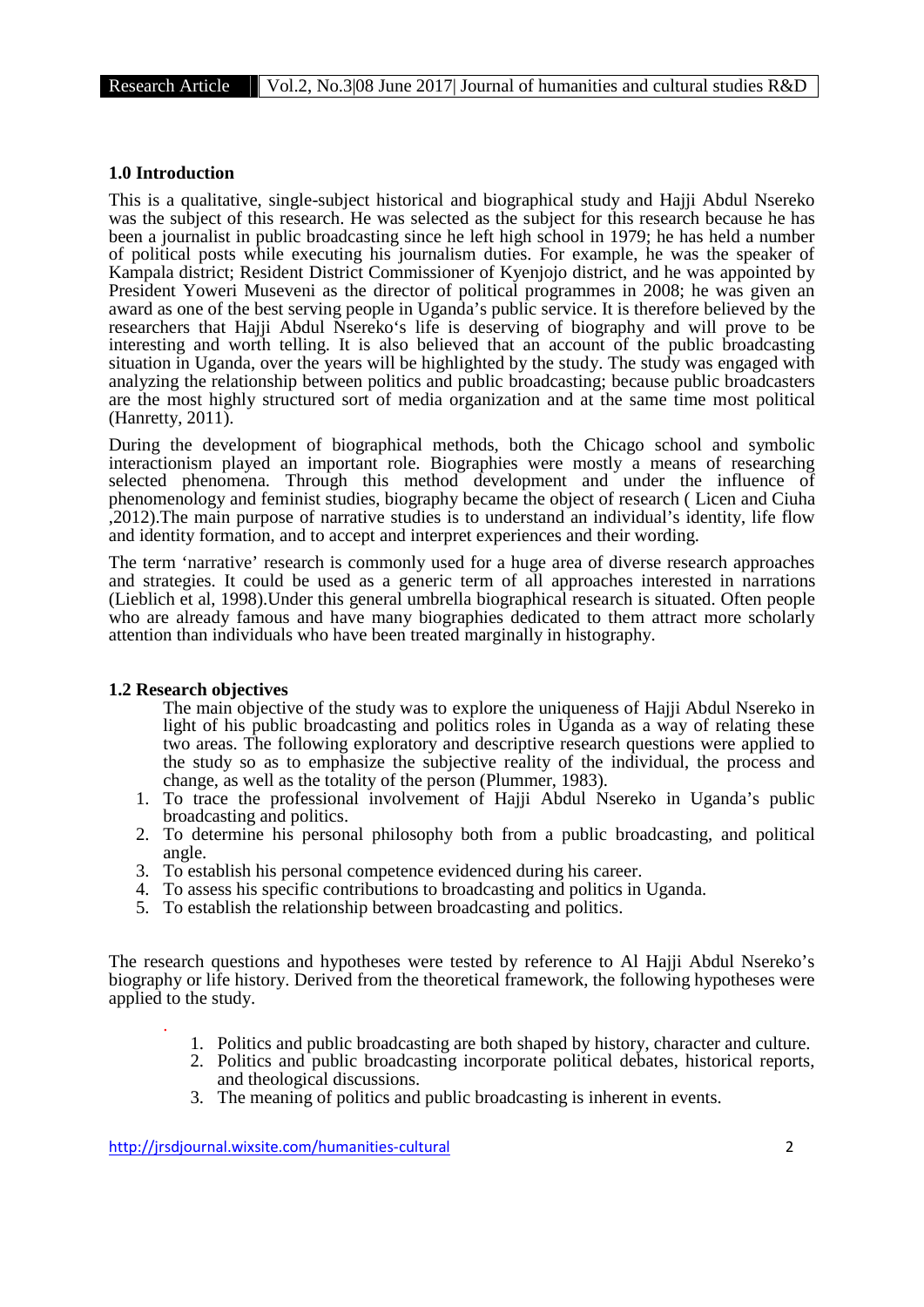### **1.0 Introduction**

This is a qualitative, single-subject historical and biographical study and Hajji Abdul Nsereko was the subject of this research. He was selected as the subject for this research because he has been a journalist in public broadcasting since he left high school in 1979; he has held a number of political posts while executing his journalism duties. For example, he was the speaker of Kampala district; Resident District Commissioner of Kyenjojo district, and he was appointed by President Yoweri Museveni as the director of political programmes in 2008; he was given an award as one of the best serving people in Uganda's public service. It is therefore believed by the researchers that Hajji Abdul Nsereko's life is deserving of biography and will prove to be interesting and worth telling. It is also believed that an account of the public broadcasting situation in Uganda, over the years will be highlighted by the study. The study was engaged with analyzing the relationship between politics and public broadcasting; because public broadcasters are the most highly structured sort of media organization and at the same time most political (Hanretty, 2011).

During the development of biographical methods, both the Chicago school and symbolic interactionism played an important role. Biographies were mostly a means of researching selected phenomena. Through this method development and under the influence of phenomenology and feminist studies, biography became the object of research ( Licen and Ciuha ,2012).The main purpose of narrative studies is to understand an individual's identity, life flow and identity formation, and to accept and interpret experiences and their wording.

The term 'narrative' research is commonly used for a huge area of diverse research approaches and strategies. It could be used as a generic term of all approaches interested in narrations (Lieblich et al, 1998).Under this general umbrella biographical research is situated. Often people who are already famous and have many biographies dedicated to them attract more scholarly attention than individuals who have been treated marginally in histography.

#### **1.2 Research objectives**

The main objective of the study was to explore the uniqueness of Hajji Abdul Nsereko in light of his public broadcasting and politics roles in Uganda as a way of relating these two areas. The following exploratory and descriptive research questions were applied to the study so as to emphasize the subjective reality of the individual, the process and change, as well as the totality of the person (Plummer, 1983).

- 1. To trace the professional involvement of Hajji Abdul Nsereko in Uganda's public broadcasting and politics.
- 2. To determine his personal philosophy both from a public broadcasting, and political angle.
- 3. To establish his personal competence evidenced during his career.
- 4. To assess his specific contributions to broadcasting and politics in Uganda.
- 5. To establish the relationship between broadcasting and politics.

The research questions and hypotheses were tested by reference to Al Hajji Abdul Nsereko's biography or life history. Derived from the theoretical framework, the following hypotheses were applied to the study.

- . 1. Politics and public broadcasting are both shaped by history, character and culture.
- 2. Politics and public broadcasting incorporate political debates, historical reports, and theological discussions.
- 3. The meaning of politics and public broadcasting is inherent in events.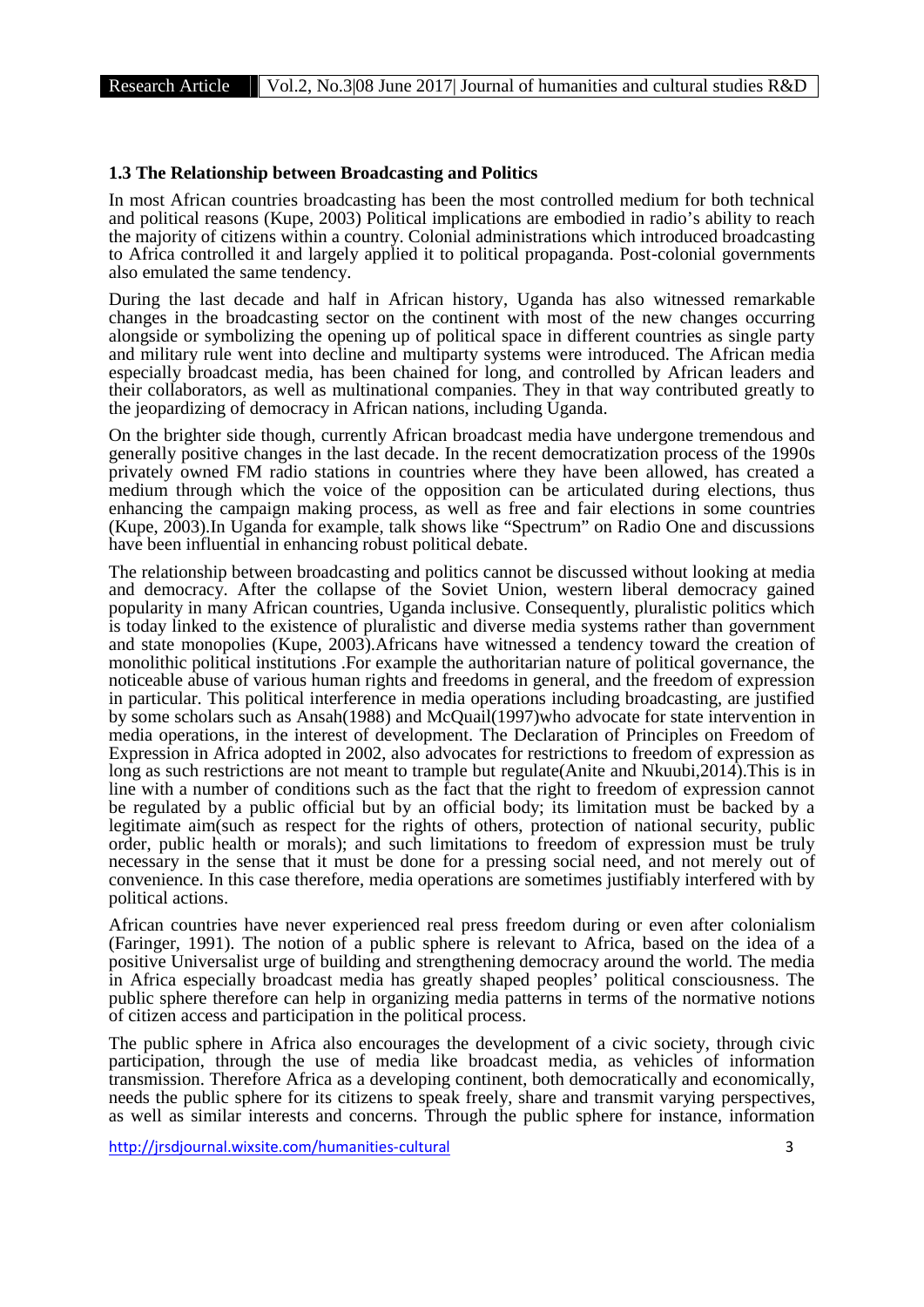#### **1.3 The Relationship between Broadcasting and Politics**

In most African countries broadcasting has been the most controlled medium for both technical and political reasons (Kupe, 2003) Political implications are embodied in radio's ability to reach the majority of citizens within a country. Colonial administrations which introduced broadcasting to Africa controlled it and largely applied it to political propaganda. Post-colonial governments also emulated the same tendency.

During the last decade and half in African history, Uganda has also witnessed remarkable changes in the broadcasting sector on the continent with most of the new changes occurring alongside or symbolizing the opening up of political space in different countries as single party and military rule went into decline and multiparty systems were introduced. The African media especially broadcast media, has been chained for long, and controlled by African leaders and their collaborators, as well as multinational companies. They in that way contributed greatly to the jeopardizing of democracy in African nations, including Uganda.

On the brighter side though, currently African broadcast media have undergone tremendous and generally positive changes in the last decade. In the recent democratization process of the 1990s privately owned FM radio stations in countries where they have been allowed, has created a medium through which the voice of the opposition can be articulated during elections, thus enhancing the campaign making process, as well as free and fair elections in some countries (Kupe, 2003).In Uganda for example, talk shows like "Spectrum" on Radio One and discussions have been influential in enhancing robust political debate.

The relationship between broadcasting and politics cannot be discussed without looking at media and democracy. After the collapse of the Soviet Union, western liberal democracy gained popularity in many African countries, Uganda inclusive. Consequently, pluralistic politics which is today linked to the existence of pluralistic and diverse media systems rather than government and state monopolies (Kupe, 2003).Africans have witnessed a tendency toward the creation of monolithic political institutions .For example the authoritarian nature of political governance, the noticeable abuse of various human rights and freedoms in general, and the freedom of expression in particular. This political interference in media operations including broadcasting, are justified by some scholars such as Ansah(1988) and McQuail(1997)who advocate for state intervention in media operations, in the interest of development. The Declaration of Principles on Freedom of Expression in Africa adopted in 2002, also advocates for restrictions to freedom of expression as long as such restrictions are not meant to trample but regulate(Anite and Nkuubi,2014).This is in line with a number of conditions such as the fact that the right to freedom of expression cannot be regulated by a public official but by an official body; its limitation must be backed by a legitimate aim(such as respect for the rights of others, protection of national security, public order, public health or morals); and such limitations to freedom of expression must be truly necessary in the sense that it must be done for a pressing social need, and not merely out of convenience. In this case therefore, media operations are sometimes justifiably interfered with by political actions.

African countries have never experienced real press freedom during or even after colonialism (Faringer, 1991). The notion of a public sphere is relevant to Africa, based on the idea of a positive Universalist urge of building and strengthening democracy around the world. The media in Africa especially broadcast media has greatly shaped peoples' political consciousness. The public sphere therefore can help in organizing media patterns in terms of the normative notions of citizen access and participation in the political process.

The public sphere in Africa also encourages the development of a civic society, through civic participation, through the use of media like broadcast media, as vehicles of information transmission. Therefore Africa as a developing continent, both democratically and economically, needs the public sphere for its citizens to speak freely, share and transmit varying perspectives, as well as similar interests and concerns. Through the public sphere for instance, information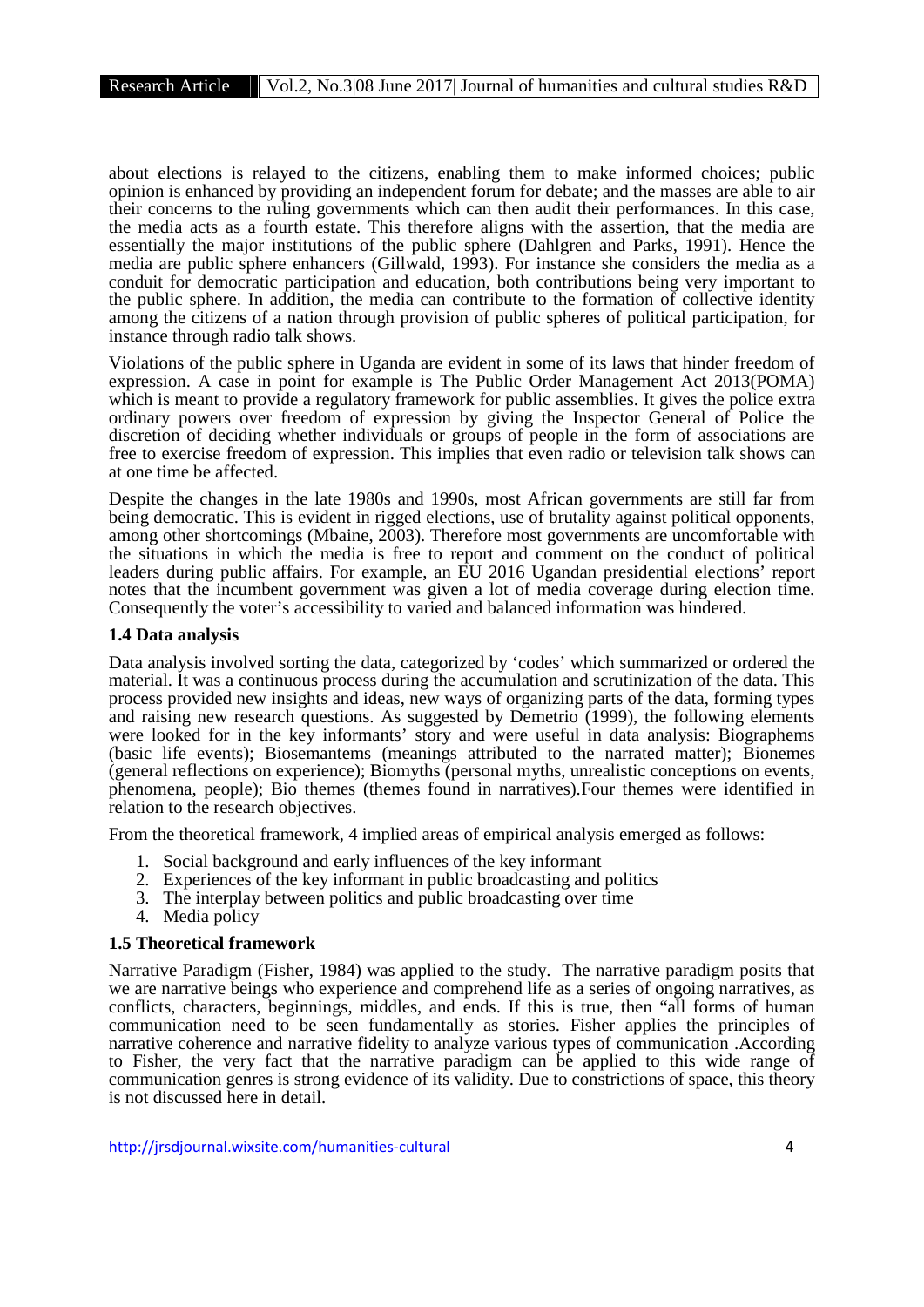about elections is relayed to the citizens, enabling them to make informed choices; public opinion is enhanced by providing an independent forum for debate; and the masses are able to air their concerns to the ruling governments which can then audit their performances. In this case, the media acts as a fourth estate. This therefore aligns with the assertion, that the media are essentially the major institutions of the public sphere (Dahlgren and Parks, 1991). Hence the media are public sphere enhancers (Gillwald, 1993). For instance she considers the media as a conduit for democratic participation and education, both contributions being very important to the public sphere. In addition, the media can contribute to the formation of collective identity among the citizens of a nation through provision of public spheres of political participation, for instance through radio talk shows.

Violations of the public sphere in Uganda are evident in some of its laws that hinder freedom of expression. A case in point for example is The Public Order Management Act 2013(POMA) which is meant to provide a regulatory framework for public assemblies. It gives the police extra ordinary powers over freedom of expression by giving the Inspector General of Police the discretion of deciding whether individuals or groups of people in the form of associations are free to exercise freedom of expression. This implies that even radio or television talk shows can at one time be affected.

Despite the changes in the late 1980s and 1990s, most African governments are still far from being democratic. This is evident in rigged elections, use of brutality against political opponents, among other shortcomings (Mbaine, 2003). Therefore most governments are uncomfortable with the situations in which the media is free to report and comment on the conduct of political leaders during public affairs. For example, an EU 2016 Ugandan presidential elections' report notes that the incumbent government was given a lot of media coverage during election time. Consequently the voter's accessibility to varied and balanced information was hindered.

# **1.4 Data analysis**

Data analysis involved sorting the data, categorized by 'codes' which summarized or ordered the material. It was a continuous process during the accumulation and scrutinization of the data. This process provided new insights and ideas, new ways of organizing parts of the data, forming types and raising new research questions. As suggested by Demetrio (1999), the following elements were looked for in the key informants' story and were useful in data analysis: Biographems (basic life events); Biosemantems (meanings attributed to the narrated matter); Bionemes (general reflections on experience); Biomyths (personal myths, unrealistic conceptions on events, phenomena, people); Bio themes (themes found in narratives).Four themes were identified in relation to the research objectives.

From the theoretical framework, 4 implied areas of empirical analysis emerged as follows:

- 1. Social background and early influences of the key informant
- 2. Experiences of the key informant in public broadcasting and politics
- 3. The interplay between politics and public broadcasting over time
- 4. Media policy

## **1.5 Theoretical framework**

Narrative Paradigm (Fisher, 1984) was applied to the study. The narrative paradigm posits that we are narrative beings who experience and comprehend life as a series of ongoing narratives, as conflicts, characters, beginnings, middles, and ends. If this is true, then "all forms of human communication need to be seen fundamentally as stories. Fisher applies the principles of narrative coherence and narrative fidelity to analyze various types of communication .According to Fisher, the very fact that the narrative paradigm can be applied to this wide range of communication genres is strong evidence of its validity. Due to constrictions of space, this theory is not discussed here in detail.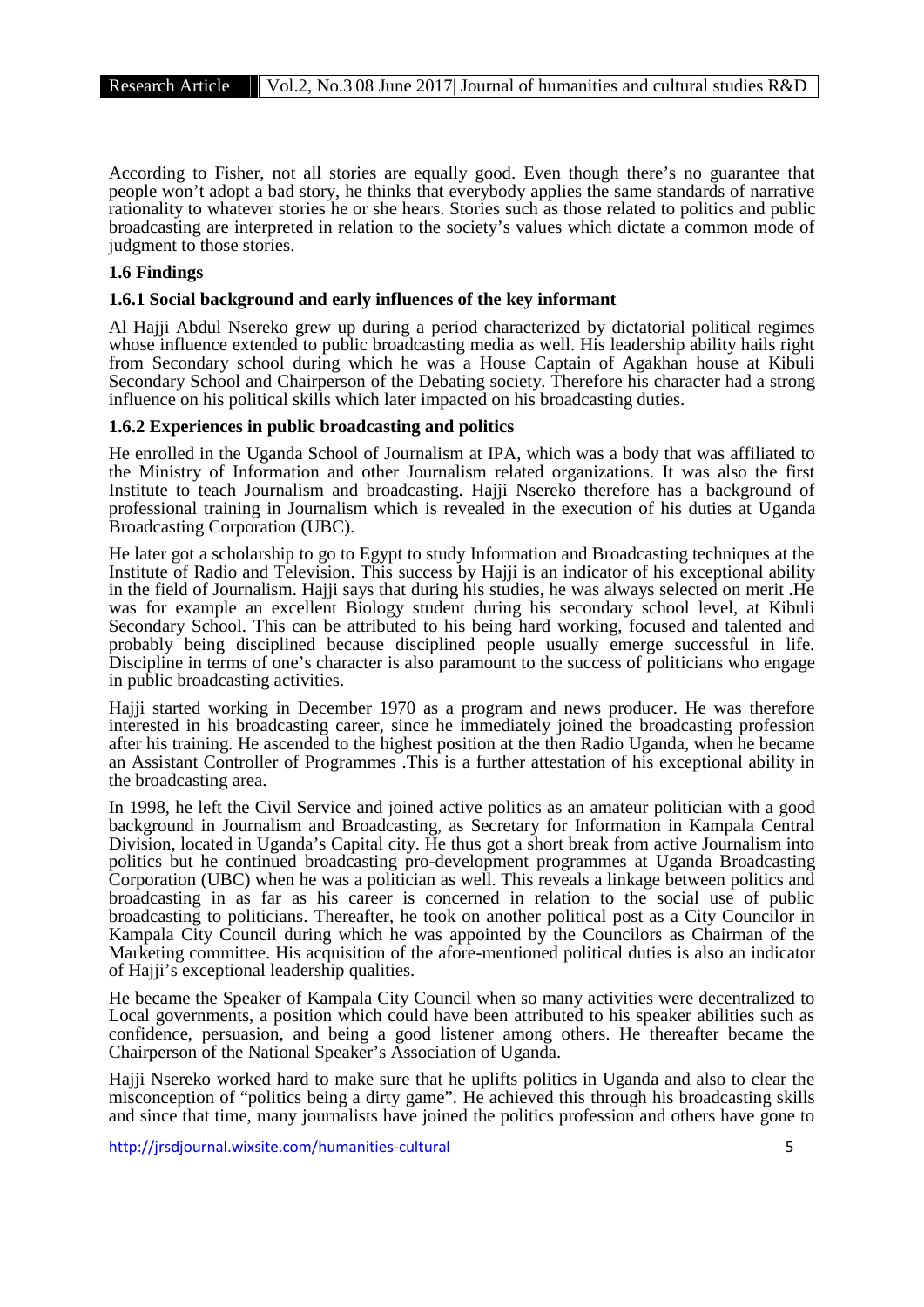According to Fisher, not all stories are equally good. Even though there's no guarantee that people won't adopt a bad story, he thinks that everybody applies the same standards of narrative rationality to whatever stories he or she hears. Stories such as those related to politics and public broadcasting are interpreted in relation to the society's values which dictate a common mode of judgment to those stories.

## **1.6 Findings**

#### **1.6.1 Social background and early influences of the key informant**

Al Hajji Abdul Nsereko grew up during a period characterized by dictatorial political regimes whose influence extended to public broadcasting media as well. His leadership ability hails right from Secondary school during which he was a House Captain of Agakhan house at Kibuli Secondary School and Chairperson of the Debating society. Therefore his character had a strong influence on his political skills which later impacted on his broadcasting duties.

#### **1.6.2 Experiences in public broadcasting and politics**

He enrolled in the Uganda School of Journalism at IPA, which was a body that was affiliated to the Ministry of Information and other Journalism related organizations. It was also the first Institute to teach Journalism and broadcasting. Hajji Nsereko therefore has a background of professional training in Journalism which is revealed in the execution of his duties at Uganda Broadcasting Corporation (UBC).

He later got a scholarship to go to Egypt to study Information and Broadcasting techniques at the Institute of Radio and Television. This success by Hajji is an indicator of his exceptional ability in the field of Journalism. Hajji says that during his studies, he was always selected on merit .He was for example an excellent Biology student during his secondary school level, at Kibuli Secondary School. This can be attributed to his being hard working, focused and talented and probably being disciplined because disciplined people usually emerge successful in life. Discipline in terms of one's character is also paramount to the success of politicians who engage in public broadcasting activities.

Hajji started working in December 1970 as a program and news producer. He was therefore interested in his broadcasting career, since he immediately joined the broadcasting profession after his training. He ascended to the highest position at the then Radio Uganda, when he became an Assistant Controller of Programmes .This is a further attestation of his exceptional ability in the broadcasting area.

In 1998, he left the Civil Service and joined active politics as an amateur politician with a good background in Journalism and Broadcasting, as Secretary for Information in Kampala Central Division, located in Uganda's Capital city. He thus got a short break from active Journalism into politics but he continued broadcasting pro-development programmes at Uganda Broadcasting Corporation (UBC) when he was a politician as well. This reveals a linkage between politics and broadcasting in as far as his career is concerned in relation to the social use of public broadcasting to politicians. Thereafter, he took on another political post as a City Councilor in Kampala City Council during which he was appointed by the Councilors as Chairman of the Marketing committee. His acquisition of the afore-mentioned political duties is also an indicator of Hajji's exceptional leadership qualities.

He became the Speaker of Kampala City Council when so many activities were decentralized to Local governments, a position which could have been attributed to his speaker abilities such as confidence, persuasion, and being a good listener among others. He thereafter became the Chairperson of the National Speaker's Association of Uganda.

Hajji Nsereko worked hard to make sure that he uplifts politics in Uganda and also to clear the misconception of "politics being a dirty game". He achieved this through his broadcasting skills and since that time, many journalists have joined the politics profession and others have gone to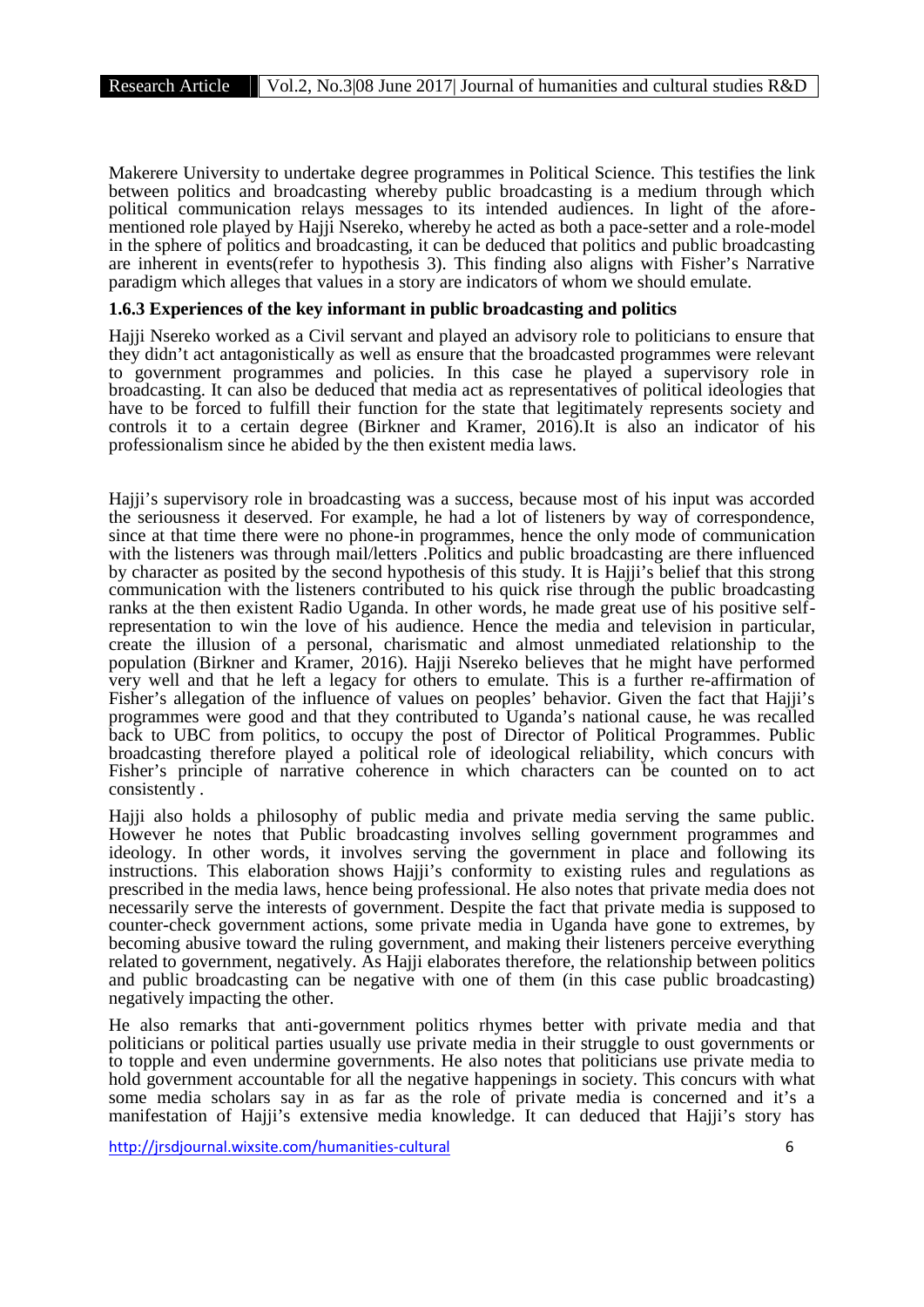Makerere University to undertake degree programmes in Political Science. This testifies the link between politics and broadcasting whereby public broadcasting is a medium through which political communication relays messages to its intended audiences. In light of the afore- mentioned role played by Hajji Nsereko, whereby he acted as both a pace-setter and a role-model in the sphere of politics and broadcasting, it can be deduced that politics and public broadcasting are inherent in events(refer to hypothesis 3). This finding also aligns with Fisher's Narrative paradigm which alleges that values in a story are indicators of whom we should emulate.

# **1.6.3 Experiences of the key informant in public broadcasting and politics**

Hajji Nsereko worked as a Civil servant and played an advisory role to politicians to ensure that they didn't act antagonistically as well as ensure that the broadcasted programmes were relevant to government programmes and policies. In this case he played a supervisory role in broadcasting. It can also be deduced that media act as representatives of political ideologies that have to be forced to fulfill their function for the state that legitimately represents society and controls it to a certain degree (Birkner and Kramer, 2016).It is also an indicator of his professionalism since he abided by the then existent media laws.

Hajji's supervisory role in broadcasting was a success, because most of his input was accorded the seriousness it deserved. For example, he had a lot of listeners by way of correspondence, since at that time there were no phone-in programmes, hence the only mode of communication with the listeners was through mail/letters. Politics and public broadcasting are there influenced by character as posited by the second hypothesis of this study. It is Hajji's belief that this strong communication with the listeners contributed to his quick rise through the public broadcasting ranks at the then existent Radio Uganda. In other words, he made great use of his positive selfrepresentation to win the love of his audience. Hence the media and television in particular, create the illusion of a personal, charismatic and almost unmediated relationship to the population (Birkner and Kramer, 2016). Hajji Nsereko believes that he might have performed very well and that he left a legacy for others to emulate. This is a further re-affirmation of Fisher's allegation of the influence of values on peoples' behavior. Given the fact that Hajji's programmes were good and that they contributed to Uganda's national cause, he was recalled back to UBC from politics, to occupy the post of Director of Political Programmes. Public broadcasting therefore played a political role of ideological reliability, which concurs with Fisher's principle of narrative coherence in which characters can be counted on to act consistently .

Hajji also holds a philosophy of public media and private media serving the same public. However he notes that Public broadcasting involves selling government programmes and ideology. In other words, it involves serving the government in place and following its instructions. This elaboration shows Hajji's conformity to existing rules and regulations as prescribed in the media laws, hence being professional. He also notes that private media does not necessarily serve the interests of government. Despite the fact that private media is supposed to counter-check government actions, some private media in Uganda have gone to extremes, by becoming abusive toward the ruling government, and making their listeners perceive everything related to government, negatively. As Hajji elaborates therefore, the relationship between politics and public broadcasting can be negative with one of them (in this case public broadcasting) negatively impacting the other.

He also remarks that anti-government politics rhymes better with private media and that politicians or political parties usually use private media in their struggle to oust governments or to topple and even undermine governments. He also notes that politicians use private media to hold government accountable for all the negative happenings in society. This concurs with what some media scholars say in as far as the role of private media is concerned and it's a manifestation of Hajji's extensive media knowledge. It can deduced that Hajji's story has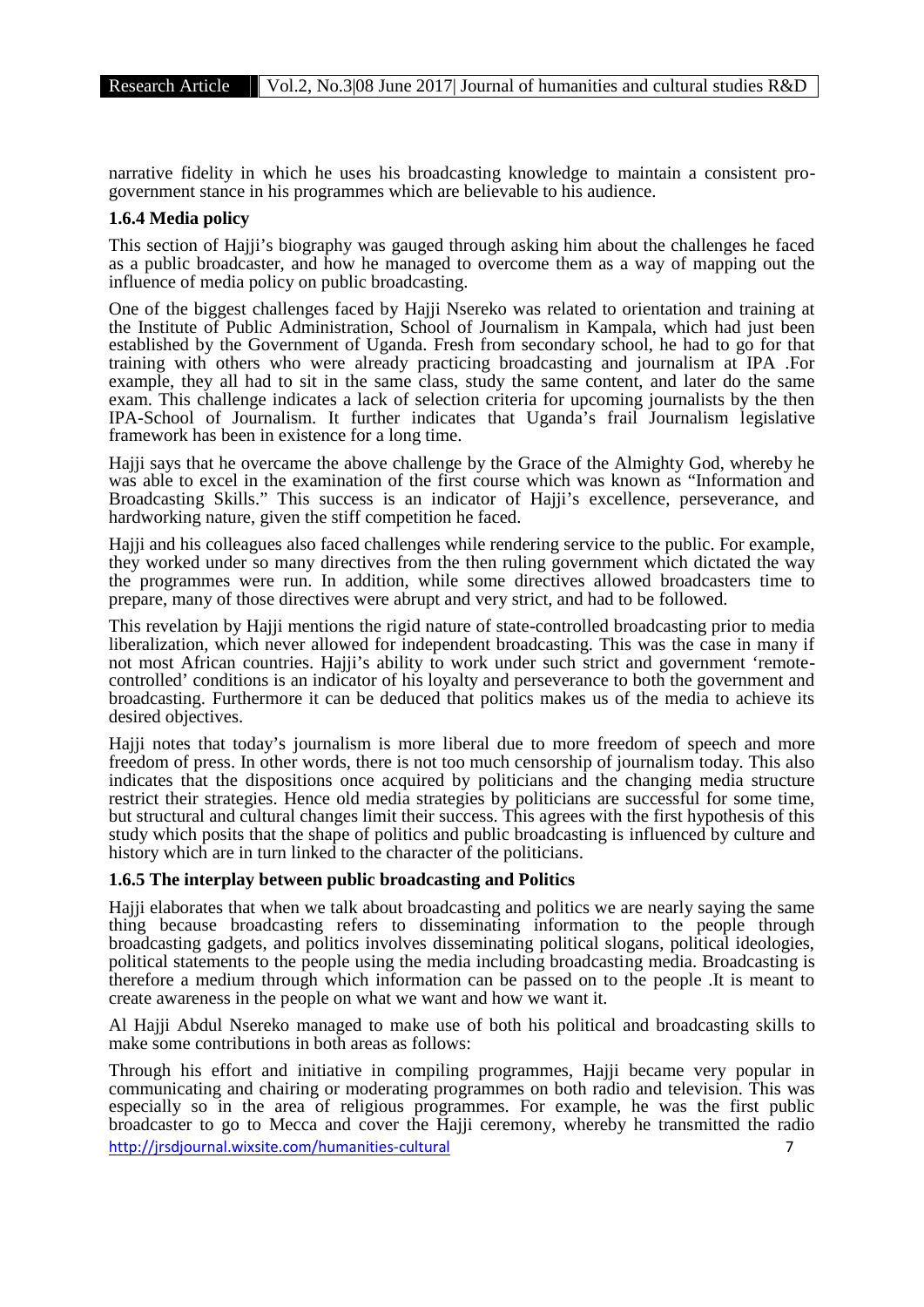narrative fidelity in which he uses his broadcasting knowledge to maintain a consistent pro- government stance in his programmes which are believable to his audience.

# **1.6.4 Media policy**

This section of Hajji's biography was gauged through asking him about the challenges he faced as a public broadcaster, and how he managed to overcome them as a way of mapping out the influence of media policy on public broadcasting.

One of the biggest challenges faced by Hajji Nsereko was related to orientation and training at the Institute of Public Administration, School of Journalism in Kampala, which had just been established by the Government of Uganda. Fresh from secondary school, he had to go for that training with others who were already practicing broadcasting and journalism at IPA .For example, they all had to sit in the same class, study the same content, and later do the same exam. This challenge indicates a lack of selection criteria for upcoming journalists by the then IPA-School of Journalism. It further indicates that Uganda's frail Journalism legislative framework has been in existence for a long time.

Hajji says that he overcame the above challenge by the Grace of the Almighty God, whereby he was able to excel in the examination of the first course which was known as "Information and Broadcasting Skills." This success is an indicator of Hajji's excellence, perseverance, and hardworking nature, given the stiff competition he faced.

Hajji and his colleagues also faced challenges while rendering service to the public. For example, they worked under so many directives from the then ruling government which dictated the way the programmes were run. In addition, while some directives allowed broadcasters time to prepare, many of those directives were abrupt and very strict, and had to be followed.

This revelation by Hajji mentions the rigid nature of state-controlled broadcasting prior to media liberalization, which never allowed for independent broadcasting. This was the case in many if not most African countries. Hajji's ability to work under such strict and government 'remotecontrolled' conditions is an indicator of his loyalty and perseverance to both the government and broadcasting. Furthermore it can be deduced that politics makes us of the media to achieve its desired objectives.

Hajji notes that today's journalism is more liberal due to more freedom of speech and more freedom of press. In other words, there is not too much censorship of journalism today. This also indicates that the dispositions once acquired by politicians and the changing media structure restrict their strategies. Hence old media strategies by politicians are successful for some time, but structural and cultural changes limit their success. This agrees with the first hypothesis of this study which posits that the shape of politics and public broadcasting is influenced by culture and history which are in turn linked to the character of the politicians.

# **1.6.5 The interplay between public broadcasting and Politics**

Hajji elaborates that when we talk about broadcasting and politics we are nearly saying the same thing because broadcasting refers to disseminating information to the people through broadcasting gadgets, and politics involves disseminating political slogans, political ideologies, political statements to the people using the media including broadcasting media. Broadcasting is therefore a medium through which information can be passed on to the people .It is meant to create awareness in the people on what we want and how we want it.

Al Hajji Abdul Nsereko managed to make use of both his political and broadcasting skills to make some contributions in both areas as follows:

http://jrsdjournal.wixsite.com/humanities-cultural 7 Through his effort and initiative in compiling programmes, Hajji became very popular in communicating and chairing or moderating programmes on both radio and television. This was especially so in the area of religious programmes. For example, he was the first public broadcaster to go to Mecca and cover the Hajji ceremony, whereby he transmitted the radio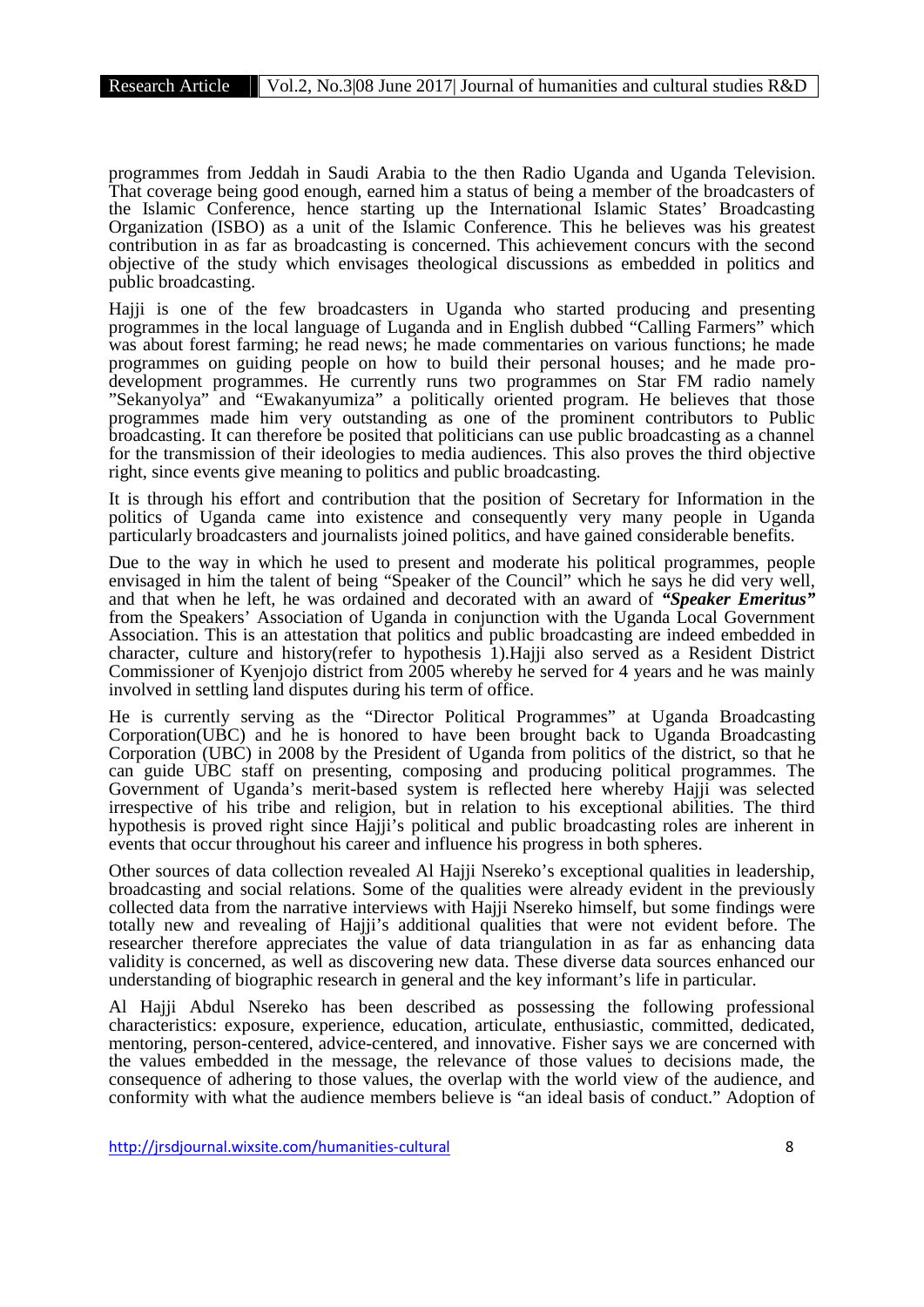programmes from Jeddah in Saudi Arabia to the then Radio Uganda and Uganda Television. That coverage being good enough, earned him a status of being a member of the broadcasters of the Islamic Conference, hence starting up the International Islamic States' Broadcasting Organization (ISBO) as a unit of the Islamic Conference. This he believes was his greatest contribution in as far as broadcasting is concerned. This achievement concurs with the second objective of the study which envisages theological discussions as embedded in politics and public broadcasting.

Hajji is one of the few broadcasters in Uganda who started producing and presenting programmes in the local language of Luganda and in English dubbed "Calling Farmers" which was about forest farming; he read news; he made commentaries on various functions; he made programmes on guiding people on how to build their personal houses; and he made prodevelopment programmes. He currently runs two programmes on Star FM radio namely "Sekanyolya" and "Ewakanyumiza" a politically oriented program. He believes that those programmes made him very outstanding as one of the prominent contributors to Public broadcasting. It can therefore be posited that politicians can use public broadcasting as a channel for the transmission of their ideologies to media audiences. This also proves the third objective right, since events give meaning to politics and public broadcasting.

It is through his effort and contribution that the position of Secretary for Information in the politics of Uganda came into existence and consequently very many people in Uganda particularly broadcasters and journalists joined politics, and have gained considerable benefits.

Due to the way in which he used to present and moderate his political programmes, people envisaged in him the talent of being "Speaker of the Council" which he says he did very well, and that when he left, he was ordained and decorated with an award of *"Speaker Emeritus"* from the Speakers' Association of Uganda in conjunction with the Uganda Local Government Association. This is an attestation that politics and public broadcasting are indeed embedded in character, culture and history(refer to hypothesis 1).Hajji also served as a Resident District Commissioner of Kyenjojo district from 2005 whereby he served for 4 years and he was mainly involved in settling land disputes during his term of office.

He is currently serving as the "Director Political Programmes" at Uganda Broadcasting Corporation(UBC) and he is honored to have been brought back to Uganda Broadcasting Corporation (UBC) in 2008 by the President of Uganda from politics of the district, so that he can guide UBC staff on presenting, composing and producing political programmes. The Government of Uganda's merit-based system is reflected here whereby Hajji was selected irrespective of his tribe and religion, but in relation to his exceptional abilities. The third hypothesis is proved right since Hajji's political and public broadcasting roles are inherent in events that occur throughout his career and influence his progress in both spheres.

Other sources of data collection revealed Al Hajji Nsereko's exceptional qualities in leadership, broadcasting and social relations. Some of the qualities were already evident in the previously collected data from the narrative interviews with Hajji Nsereko himself, but some findings were totally new and revealing of Hajji's additional qualities that were not evident before. The researcher therefore appreciates the value of data triangulation in as far as enhancing data validity is concerned, as well as discovering new data. These diverse data sources enhanced our understanding of biographic research in general and the key informant's life in particular.

Al Hajji Abdul Nsereko has been described as possessing the following professional characteristics: exposure, experience, education, articulate, enthusiastic, committed, dedicated, mentoring, person-centered, advice-centered, and innovative. Fisher says we are concerned with the values embedded in the message, the relevance of those values to decisions made, the consequence of adhering to those values, the overlap with the world view of the audience, and conformity with what the audience members believe is "an ideal basis of conduct." Adoption of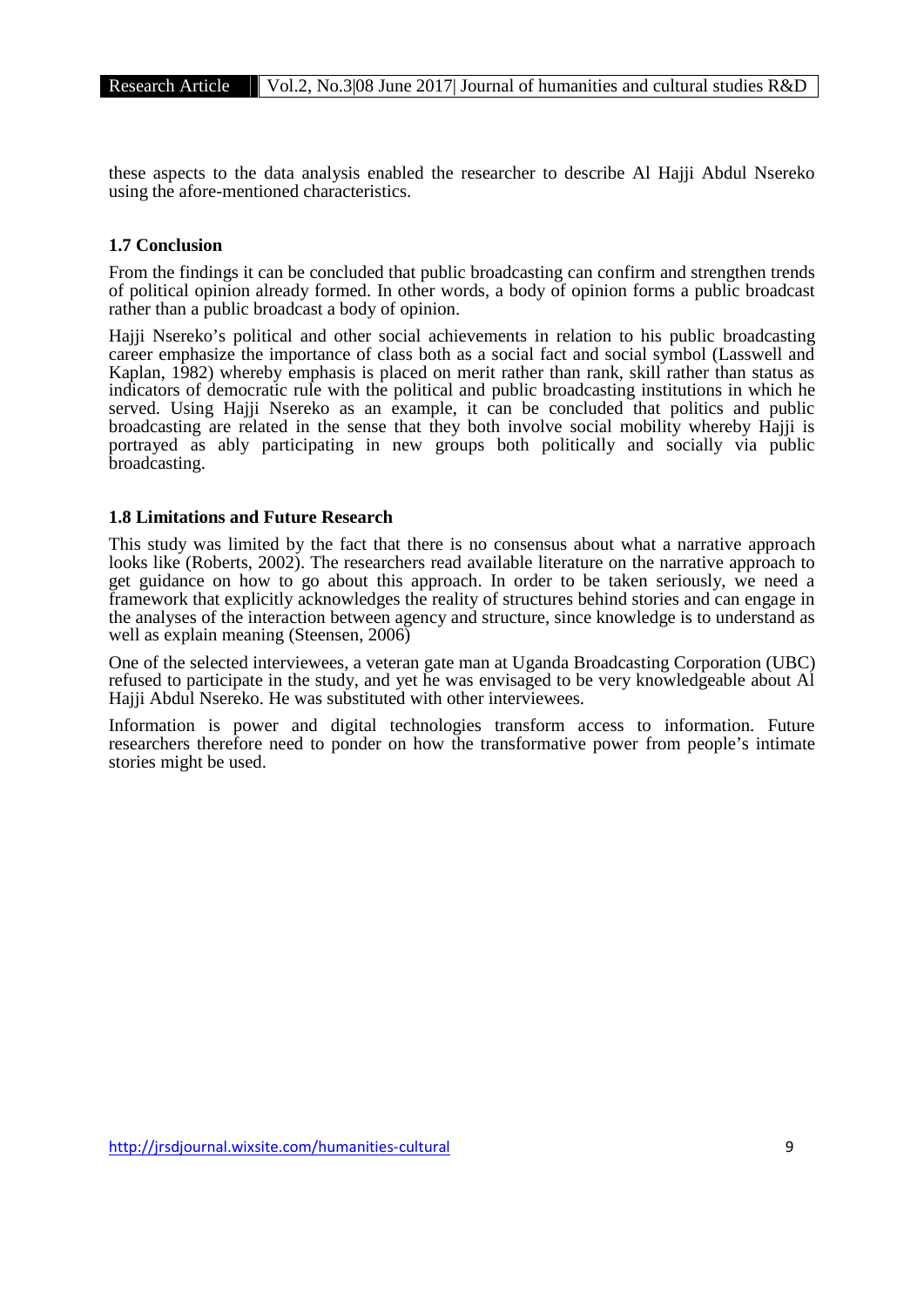these aspects to the data analysis enabled the researcher to describe Al Hajji Abdul Nsereko using the afore-mentioned characteristics.

# **1.7 Conclusion**

From the findings it can be concluded that public broadcasting can confirm and strengthen trends of political opinion already formed. In other words, a body of opinion forms a public broadcast rather than a public broadcast a body of opinion.

Hajji Nsereko's political and other social achievements in relation to his public broadcasting career emphasize the importance of class both as a social fact and social symbol (Lasswell and Kaplan, 1982) whereby emphasis is placed on merit rather than rank, skill rather than status as indicators of democratic rule with the political and public broadcasting institutions in which he served. Using Hajji Nsereko as an example, it can be concluded that politics and public broadcasting are related in the sense that they both involve social mobility whereby Hajji is portrayed as ably participating in new groups both politically and socially via public broadcasting.

# **1.8 Limitations and Future Research**

This study was limited by the fact that there is no consensus about what a narrative approach looks like (Roberts, 2002). The researchers read available literature on the narrative approach to get guidance on how to go about this approach. In order to be taken seriously, we need a framework that explicitly acknowledges the reality of structures behind stories and can engage in the analyses of the interaction between agency and structure, since knowledge is to understand as well as explain meaning (Steensen, 2006)

One of the selected interviewees, a veteran gate man at Uganda Broadcasting Corporation (UBC) refused to participate in the study, and yet he was envisaged to be very knowledgeable about Al Hajji Abdul Nsereko. He was substituted with other interviewees.

Information is power and digital technologies transform access to information. Future researchers therefore need to ponder on how the transformative power from people's intimate stories might be used.